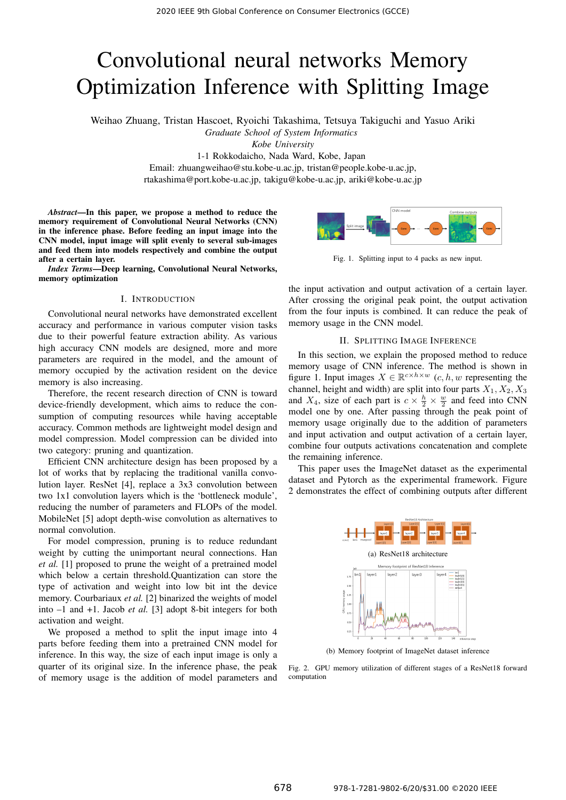# Convolutional neural networks Memory Optimization Inference with Splitting Image

Weihao Zhuang, Tristan Hascoet, Ryoichi Takashima, Tetsuya Takiguchi and Yasuo Ariki

*Graduate School of System Informatics*

*Kobe University*

1-1 Rokkodaicho, Nada Ward, Kobe, Japan

Email: zhuangweihao@stu.kobe-u.ac.jp, tristan@people.kobe-u.ac.jp,

rtakashima@port.kobe-u.ac.jp, takigu@kobe-u.ac.jp, ariki@kobe-u.ac.jp

*Abstract*—In this paper, we propose a method to reduce the memory requirement of Convolutional Neural Networks (CNN) in the inference phase. Before feeding an input image into the CNN model, input image will split evenly to several sub-images and feed them into models respectively and combine the output after a certain layer.

*Index Terms*—Deep learning, Convolutional Neural Networks, memory optimization

# I. INTRODUCTION

Convolutional neural networks have demonstrated excellent accuracy and performance in various computer vision tasks due to their powerful feature extraction ability. As various high accuracy CNN models are designed, more and more parameters are required in the model, and the amount of memory occupied by the activation resident on the device memory is also increasing.

Therefore, the recent research direction of CNN is toward device-friendly development, which aims to reduce the consumption of computing resources while having acceptable accuracy. Common methods are lightweight model design and model compression. Model compression can be divided into two category: pruning and quantization.

Efficient CNN architecture design has been proposed by a lot of works that by replacing the traditional vanilla convolution layer. ResNet [4], replace a 3x3 convolution between two 1x1 convolution layers which is the 'bottleneck module', reducing the number of parameters and FLOPs of the model. MobileNet [5] adopt depth-wise convolution as alternatives to normal convolution.

For model compression, pruning is to reduce redundant weight by cutting the unimportant neural connections. Han *et al.* [1] proposed to prune the weight of a pretrained model which below a certain threshold.Quantization can store the type of activation and weight into low bit int the device memory. Courbariaux *et al.* [2] binarized the weights of model into –1 and +1. Jacob *et al.* [3] adopt 8-bit integers for both activation and weight.

We proposed a method to split the input image into 4 parts before feeding them into a pretrained CNN model for inference. In this way, the size of each input image is only a quarter of its original size. In the inference phase, the peak of memory usage is the addition of model parameters and



Fig. 1. Splitting input to 4 packs as new input.

the input activation and output activation of a certain layer. After crossing the original peak point, the output activation from the four inputs is combined. It can reduce the peak of memory usage in the CNN model.

# II. SPLITTING IMAGE INFERENCE

In this section, we explain the proposed method to reduce memory usage of CNN inference. The method is shown in figure 1. Input images  $X \in \mathbb{R}^{c \times h \times w}$  (c, h, w representing the channel, height and width) are split into four parts  $X_1, X_2, X_3$ and  $X_4$ , size of each part is  $c \times \frac{h}{2} \times \frac{w}{2}$  and feed into CNN model one by one. After passing through the peak point of memory usage originally due to the addition of parameters and input activation and output activation of a certain layer, combine four outputs activations concatenation and complete the remaining inference.

This paper uses the ImageNet dataset as the experimental dataset and Pytorch as the experimental framework. Figure 2 demonstrates the effect of combining outputs after different



(b) Memory footprint of ImageNet dataset inference

Fig. 2. GPU memory utilization of different stages of a ResNet18 forward computation